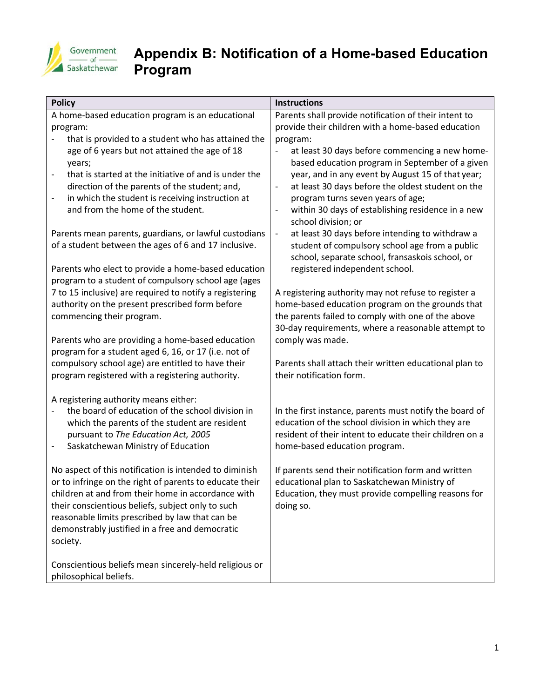

## **Appendix B: Notification of a Home-based Education Program**

| <b>Policy</b>                                                                | <b>Instructions</b>                                                                                           |
|------------------------------------------------------------------------------|---------------------------------------------------------------------------------------------------------------|
| A home-based education program is an educational                             | Parents shall provide notification of their intent to                                                         |
| program:                                                                     | provide their children with a home-based education                                                            |
| that is provided to a student who has attained the                           | program:                                                                                                      |
| age of 6 years but not attained the age of 18                                | at least 30 days before commencing a new home-                                                                |
| years;                                                                       | based education program in September of a given                                                               |
| that is started at the initiative of and is under the<br>$\qquad \qquad -$   | year, and in any event by August 15 of that year;                                                             |
| direction of the parents of the student; and,                                | at least 30 days before the oldest student on the<br>$\overline{\phantom{a}}$                                 |
| in which the student is receiving instruction at<br>$\overline{\phantom{0}}$ | program turns seven years of age;                                                                             |
| and from the home of the student.                                            | within 30 days of establishing residence in a new                                                             |
|                                                                              | school division; or                                                                                           |
| Parents mean parents, guardians, or lawful custodians                        | at least 30 days before intending to withdraw a<br>$\overline{\phantom{a}}$                                   |
| of a student between the ages of 6 and 17 inclusive.                         | student of compulsory school age from a public                                                                |
|                                                                              | school, separate school, fransaskois school, or                                                               |
| Parents who elect to provide a home-based education                          | registered independent school.                                                                                |
| program to a student of compulsory school age (ages                          |                                                                                                               |
| 7 to 15 inclusive) are required to notify a registering                      | A registering authority may not refuse to register a                                                          |
| authority on the present prescribed form before                              | home-based education program on the grounds that                                                              |
| commencing their program.                                                    | the parents failed to comply with one of the above                                                            |
|                                                                              | 30-day requirements, where a reasonable attempt to                                                            |
| Parents who are providing a home-based education                             | comply was made.                                                                                              |
| program for a student aged 6, 16, or 17 (i.e. not of                         |                                                                                                               |
| compulsory school age) are entitled to have their                            | Parents shall attach their written educational plan to                                                        |
| program registered with a registering authority.                             | their notification form.                                                                                      |
|                                                                              |                                                                                                               |
| A registering authority means either:                                        |                                                                                                               |
| the board of education of the school division in                             | In the first instance, parents must notify the board of                                                       |
| which the parents of the student are resident                                | education of the school division in which they are<br>resident of their intent to educate their children on a |
| pursuant to The Education Act, 2005<br>Saskatchewan Ministry of Education    |                                                                                                               |
| $\qquad \qquad \blacksquare$                                                 | home-based education program.                                                                                 |
| No aspect of this notification is intended to diminish                       | If parents send their notification form and written                                                           |
| or to infringe on the right of parents to educate their                      | educational plan to Saskatchewan Ministry of                                                                  |
| children at and from their home in accordance with                           | Education, they must provide compelling reasons for                                                           |
| their conscientious beliefs, subject only to such                            | doing so.                                                                                                     |
| reasonable limits prescribed by law that can be                              |                                                                                                               |
| demonstrably justified in a free and democratic                              |                                                                                                               |
| society.                                                                     |                                                                                                               |
|                                                                              |                                                                                                               |
| Conscientious beliefs mean sincerely-held religious or                       |                                                                                                               |
| philosophical beliefs.                                                       |                                                                                                               |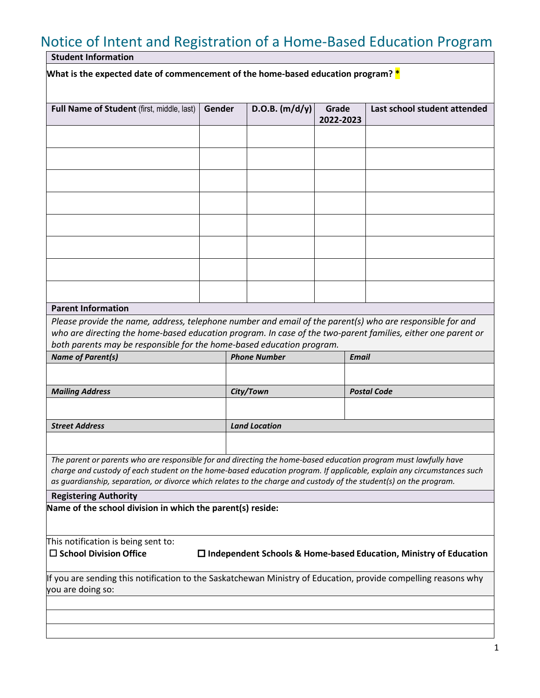## Notice of Intent and Registration of a Home-Based Education Program

**Student Information**

**What is the expected date of commencement of the home-based education program? \***

| Full Name of Student (first, middle, last)                                                                                                                                                                                                                                                                                                                    | Gender |                      | D.O.B. $(m/d/y)$ | Grade     |                    | Last school student attended |  |  |
|---------------------------------------------------------------------------------------------------------------------------------------------------------------------------------------------------------------------------------------------------------------------------------------------------------------------------------------------------------------|--------|----------------------|------------------|-----------|--------------------|------------------------------|--|--|
|                                                                                                                                                                                                                                                                                                                                                               |        |                      |                  | 2022-2023 |                    |                              |  |  |
|                                                                                                                                                                                                                                                                                                                                                               |        |                      |                  |           |                    |                              |  |  |
|                                                                                                                                                                                                                                                                                                                                                               |        |                      |                  |           |                    |                              |  |  |
|                                                                                                                                                                                                                                                                                                                                                               |        |                      |                  |           |                    |                              |  |  |
|                                                                                                                                                                                                                                                                                                                                                               |        |                      |                  |           |                    |                              |  |  |
|                                                                                                                                                                                                                                                                                                                                                               |        |                      |                  |           |                    |                              |  |  |
|                                                                                                                                                                                                                                                                                                                                                               |        |                      |                  |           |                    |                              |  |  |
|                                                                                                                                                                                                                                                                                                                                                               |        |                      |                  |           |                    |                              |  |  |
|                                                                                                                                                                                                                                                                                                                                                               |        |                      |                  |           |                    |                              |  |  |
| <b>Parent Information</b>                                                                                                                                                                                                                                                                                                                                     |        |                      |                  |           |                    |                              |  |  |
| Please provide the name, address, telephone number and email of the parent(s) who are responsible for and<br>who are directing the home-based education program. In case of the two-parent families, either one parent or                                                                                                                                     |        |                      |                  |           |                    |                              |  |  |
| both parents may be responsible for the home-based education program.                                                                                                                                                                                                                                                                                         |        | <b>Phone Number</b>  |                  |           | Email              |                              |  |  |
| <b>Name of Parent(s)</b>                                                                                                                                                                                                                                                                                                                                      |        |                      |                  |           |                    |                              |  |  |
|                                                                                                                                                                                                                                                                                                                                                               |        |                      |                  |           |                    |                              |  |  |
| <b>Mailing Address</b>                                                                                                                                                                                                                                                                                                                                        |        | City/Town            |                  |           | <b>Postal Code</b> |                              |  |  |
|                                                                                                                                                                                                                                                                                                                                                               |        |                      |                  |           |                    |                              |  |  |
| <b>Street Address</b>                                                                                                                                                                                                                                                                                                                                         |        | <b>Land Location</b> |                  |           |                    |                              |  |  |
|                                                                                                                                                                                                                                                                                                                                                               |        |                      |                  |           |                    |                              |  |  |
| The parent or parents who are responsible for and directing the home-based education program must lawfully have<br>charge and custody of each student on the home-based education program. If applicable, explain any circumstances such<br>as guardianship, separation, or divorce which relates to the charge and custody of the student(s) on the program. |        |                      |                  |           |                    |                              |  |  |
| <b>Registering Authority</b>                                                                                                                                                                                                                                                                                                                                  |        |                      |                  |           |                    |                              |  |  |
| Name of the school division in which the parent(s) reside:                                                                                                                                                                                                                                                                                                    |        |                      |                  |           |                    |                              |  |  |
| This notification is being sent to:<br>$\square$ School Division Office<br>$\Box$ Independent Schools & Home-based Education, Ministry of Education                                                                                                                                                                                                           |        |                      |                  |           |                    |                              |  |  |
| If you are sending this notification to the Saskatchewan Ministry of Education, provide compelling reasons why<br>you are doing so:                                                                                                                                                                                                                           |        |                      |                  |           |                    |                              |  |  |
|                                                                                                                                                                                                                                                                                                                                                               |        |                      |                  |           |                    |                              |  |  |
|                                                                                                                                                                                                                                                                                                                                                               |        |                      |                  |           |                    |                              |  |  |
|                                                                                                                                                                                                                                                                                                                                                               |        |                      |                  |           |                    |                              |  |  |